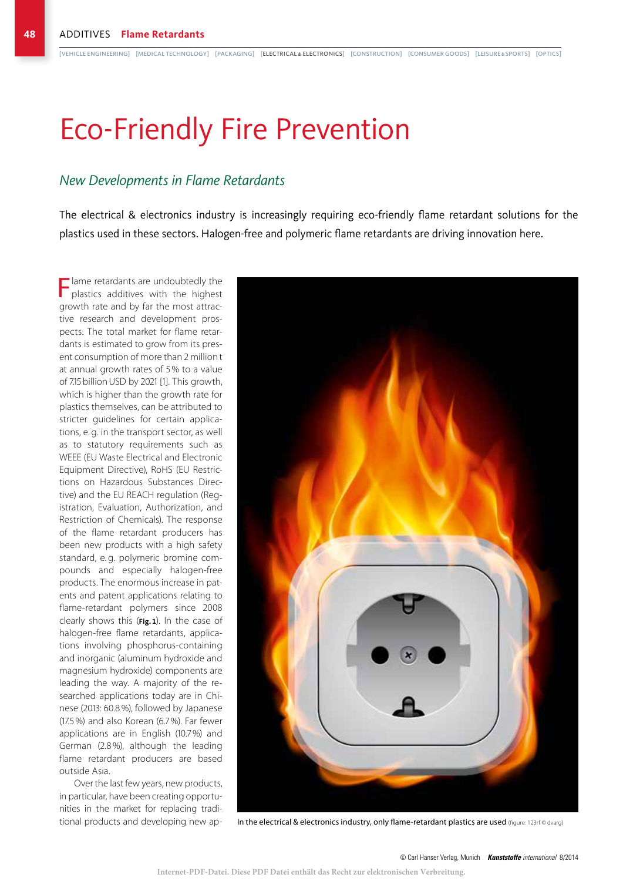# Eco-Friendly Fire Prevention

### *New Developments in Flame Retardants*

The electrical & electronics industry is increasingly requiring eco-friendly flame retardant solutions for the plastics used in these sectors. Halogen-free and polymeric flame retardants are driving innovation here.

Flame retardants are undoubtedly the plastics additives with the highest growth rate and by far the most attractive research and development prospects. The total market for flame retardants is estimated to grow from its present consumption of more than 2 million t at annual growth rates of 5 % to a value of 7.15 billion USD by 2021 [1]. This growth, which is higher than the growth rate for plastics themselves, can be attributed to stricter guidelines for certain applications, e. g. in the transport sector, as well as to statutory requirements such as WEEE (EU Waste Electrical and Electronic Equipment Directive), RoHS (EU Restrictions on Hazardous Substances Directive) and the EU REACH regulation (Registration, Evaluation, Authorization, and Restriction of Chemicals). The response of the flame retardant producers has been new products with a high safety standard, e. g. polymeric bromine compounds and especially halogen-free products. The enormous increase in patents and patent applications relating to flame-retardant polymers since 2008 clearly shows this (**Fig. 1**). In the case of halogen-free flame retardants, applications involving phosphorus-containing and inorganic (aluminum hydroxide and magnesium hydroxide) components are leading the way. A majority of the researched applications today are in Chinese (2013: 60.8%), followed by Japanese (17.5%) and also Korean (6.7 %). Far fewer applications are in English (10.7%) and German (2.8%), although the leading flame retardant producers are based outside Asia.

Over the last few years, new products, in particular, have been creating opportunities in the market for replacing tradi-



tional products and developing new ap- In the electrical & electronics industry, only flame-retardant plastics are used (figure: 123rf © dvarg)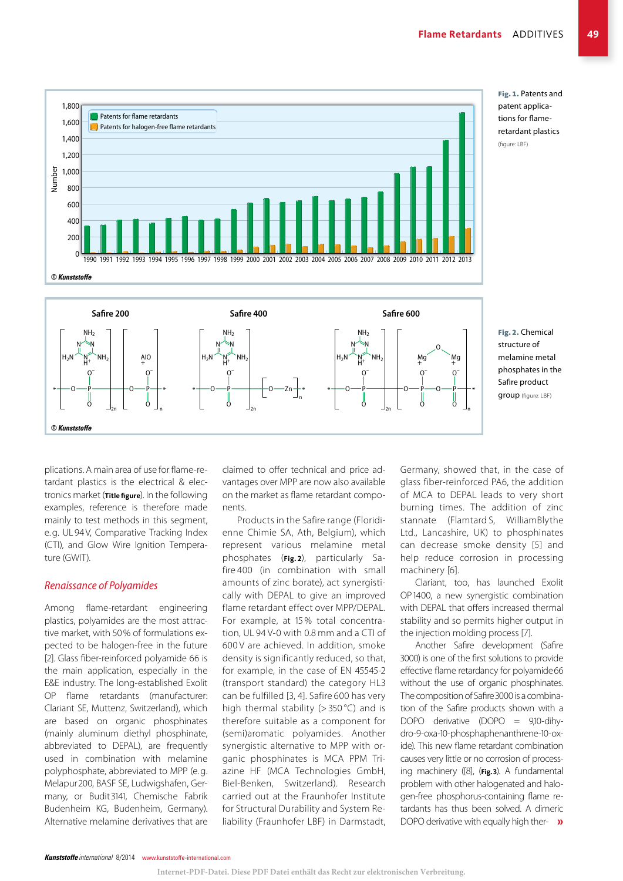

Fig. 1. Patents and patent applications for flameretardant plastics (figure: LBF)

structure of melamine metal phosphates in the Safire product group (figure: LBF)

plications. A main area of use for flame-retardant plastics is the electrical & electronics market (**Title figure**). In the following examples, reference is therefore made mainly to test methods in this segment, e.g. UL 94V, Comparative Tracking Index (CTI), and Glow Wire Ignition Temperature (GWIT).

#### *Renaissance of Polyamides*

Among flame-retardant engineering plastics, polyamides are the most attractive market, with 50% of formulations expected to be halogen-free in the future [2]. Glass fiber-reinforced polyamide 66 is the main application, especially in the E&E industry. The long-established Exolit OP flame retardants (manufacturer: Clariant SE, Muttenz, Switzerland), which are based on organic phosphinates (mainly aluminum diethyl phosphinate, abbreviated to DEPAL), are frequently used in combination with melamine polyphosphate, abbreviated to MPP (e.g. Melapur 200, BASF SE, Ludwigshafen, Germany, or Budit 3141, Chemische Fabrik Budenheim KG, Budenheim, Germany). Alternative melamine derivatives that are

claimed to offer technical and price advantages over MPP are now also available on the market as flame retardant components.

Products in the Safire range (Floridienne Chimie SA, Ath, Belgium), which represent various melamine metal phosphates (**Fig. 2**), particularly Safire 400 (in combination with small amounts of zinc borate), act synergistically with DEPAL to give an improved flame retardant effect over MPP/DEPAL. For example, at 15 % total concentration, UL 94 V-0 with 0.8 mm and a CTI of 600 V are achieved. In addition, smoke density is significantly reduced, so that, for example, in the case of EN 45545-2 (transport standard) the category HL3 can be fulfilled [3, 4]. Safire 600 has very high thermal stability ( $>$  350 °C) and is therefore suitable as a component for (semi)aromatic polyamides. Another synergistic alternative to MPP with organic phosphinates is MCA PPM Triazine HF (MCA Technologies GmbH, Biel-Benken, Switzerland). Research carried out at the Fraunhofer Institute for Structural Durability and System Reliability (Fraunhofer LBF) in Darmstadt,

Germany, showed that, in the case of glass fiber-reinforced PA6, the addition of MCA to DEPAL leads to very short burning times. The addition of zinc stannate (Flamtard S, WilliamBlythe Ltd., Lancashire, UK) to phosphinates can decrease smoke density [5] and help reduce corrosion in processing machinery [6].

Clariant, too, has launched Exolit OP1400, a new synergistic combination with DEPAL that offers increased thermal stability and so permits higher output in the injection molding process [7].

Another Safire development (Safire 3000) is one of the first solutions to provide effective flame retardancy for polyamide66 without the use of organic phosphinates. The composition of Safire3000 is a combination of the Safire products shown with a DOPO derivative (DOPO = 9,10-dihydro-9-oxa-10-phosphaphenanthrene-10-oxide). This new flame retardant combination causes very little or no corrosion of processing machinery ([8], (**Fig.3**). A fundamental problem with other halogenated and halogen-free phosphorus-containing flame retardants has thus been solved. A dimeric DOPO derivative with equally high ther-  $\mathbf{\nu}$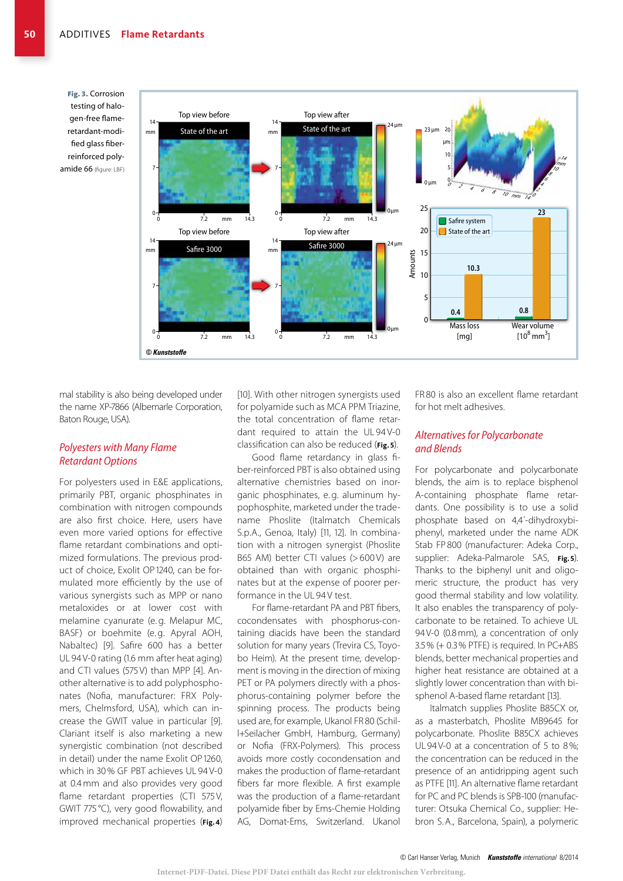Fig. 3. Corrosion testing of halogen-free flameretardant-modified glass fiberreinforced polyamide 66 (figure: LBF)



mal stability is also being developed under the name XP-7866 (Albemarle Corporation, Baton Rouge, USA).

#### *Polyesters with Many Flame Retardant Options*

For polyesters used in E&E applications, primarily PBT, organic phosphinates in combination with nitrogen compounds are also first choice. Here, users have even more varied options for effective flame retardant combinations and optimized formulations. The previous product of choice, Exolit OP 1240, can be formulated more efficiently by the use of various synergists such as MPP or nano metaloxides or at lower cost with melamine cyanurate (e. g. Melapur MC, BASF) or boehmite (e.g. Apyral AOH, Nabaltec) [9]. Safire 600 has a better UL 94 V-0 rating (1.6 mm after heat aging) and CTI values (575 V) than MPP [4]. Another alternative is to add polyphosphonates (Nofia, manufacturer: FRX Polymers, Chelmsford, USA), which can increase the GWIT value in particular [9]. Clariant itself is also marketing a new synergistic combination (not described in detail) under the name Exolit OP 1260, which in 30% GF PBT achieves UL 94 V-0 at 0.4 mm and also provides very good flame retardant properties (CTI 575V, GWIT 775 °C), very good flowability, and improved mechanical properties (**Fig. 4**)

[10]. With other nitrogen synergists used for polyamide such as MCA PPM Triazine, the total concentration of flame retardant required to attain the UL 94 V-0 classification can also be reduced (**Fig. 5**).

Good flame retardancy in glass fiber-reinforced PBT is also obtained using alternative chemistries based on inorganic phosphinates, e. g. aluminum hypophosphite, marketed under the tradename Phoslite (Italmatch Chemicals S.p.A., Genoa, Italy) [11, 12]. In combination with a nitrogen synergist (Phoslite B65 AM) better CTI values (>600 V) are obtained than with organic phosphinates but at the expense of poorer performance in the UL 94 V test.

For flame-retardant PA and PBT fibers, cocondensates with phosphorus-containing diacids have been the standard solution for many years (Trevira CS, Toyobo Heim). At the present time, development is moving in the direction of mixing PET or PA polymers directly with a phosphorus-containing polymer before the spinning process. The products being used are, for example, Ukanol FR 80 (Schill+Seilacher GmbH, Hamburg, Germany) or Nofia (FRX-Polymers). This process avoids more costly cocondensation and makes the production of flame-retardant fibers far more flexible. A first example was the production of a flame-retardant polyamide fiber by Ems-Chemie Holding AG, Domat-Ems, Switzerland. Ukanol FR80 is also an excellent flame retardant for hot melt adhesives.

#### *Alternatives for Polycarbonate and Blends*

For polycarbonate and polycarbonate blends, the aim is to replace bisphenol A-containing phosphate flame retardants. One possibility is to use a solid phosphate based on 4,4´-dihydroxybiphenyl, marketed under the name ADK Stab FP 800 (manufacturer: Adeka Corp., supplier: Adeka-Palmarole SAS, **Fig.5**). Thanks to the biphenyl unit and oligomeric structure, the product has very good thermal stability and low volatility. It also enables the transparency of polycarbonate to be retained. To achieve UL 94V-0 (0.8mm), a concentration of only 3.5% (+ 0.3% PTFE) is required. In PC+ABS blends, better mechanical properties and higher heat resistance are obtained at a slightly lower concentration than with bisphenol A-based flame retardant [13].

Italmatch supplies Phoslite B85CX or, as a masterbatch, Phoslite MB9645 for polycarbonate. Phoslite B85CX achieves UL 94V-0 at a concentration of 5 to 8%; the concentration can be reduced in the presence of an antidripping agent such as PTFE [11]. An alternative flame retardant for PC and PC blends is SPB-100 (manufacturer: Otsuka Chemical Co., supplier: Hebron S.A., Barcelona, Spain), a polymeric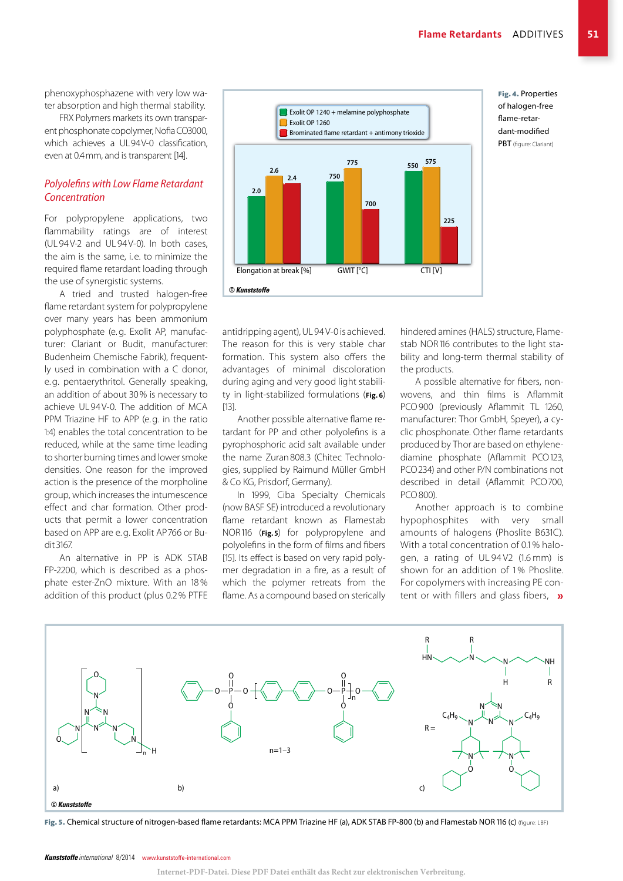phenoxyphosphazene with very low water absorption and high thermal stability.

FRX Polymers markets its own transparent phosphonate copolymer, Nofia CO3000, which achieves a UL94V-0 classification, even at 0.4mm, and is transparent [14].

#### *Polyolefins with Low Flame Retardant Concentration*

For polypropylene applications, two flammability ratings are of interest (UL 94V-2 and UL 94V-0). In both cases, the aim is the same, i.e. to minimize the required flame retardant loading through the use of synergistic systems.

A tried and trusted halogen-free flame retardant system for polypropylene over many years has been ammonium polyphosphate (e.g. Exolit AP, manufacturer: Clariant or Budit, manufacturer: Budenheim Chemische Fabrik), frequently used in combination with a C donor, e.g. pentaerythritol. Generally speaking, an addition of about 30% is necessary to achieve UL 94V-0. The addition of MCA PPM Triazine HF to APP (e.g. in the ratio 1:4) enables the total concentration to be reduced, while at the same time leading to shorter burning times and lower smoke densities. One reason for the improved action is the presence of the morpholine group, which increases the intumescence effect and char formation. Other products that permit a lower concentration based on APP are e.g. Exolit AP 766 or Budit 3167.

An alternative in PP is ADK STAB FP-2200, which is described as a phosphate ester-ZnO mixture. With an 18 % addition of this product (plus 0.2% PTFE



Fig. 4. Properties of halogen-free flame-retardant-modified PBT (figure: Clariant)

antidripping agent), UL 94 V-0 is achieved. The reason for this is very stable char formation. This system also offers the advantages of minimal discoloration during aging and very good light stability in light-stabilized formulations (**Fig. 6**) [13].

Another possible alternative flame retardant for PP and other polyolefins is a pyrophosphoric acid salt available under the name Zuran808.3 (Chitec Technologies, supplied by Raimund Müller GmbH & Co KG, Prisdorf, Germany).

In 1999, Ciba Specialty Chemicals (now BASF SE) introduced a revolutionary flame retardant known as Flamestab NOR116 (**Fig.5**) for polypropylene and polyolefins in the form of films and fibers [15]. Its effect is based on very rapid polymer degradation in a fire, as a result of which the polymer retreats from the flame. As a compound based on sterically hindered amines (HALS) structure, Flamestab NOR116 contributes to the light stability and long-term thermal stability of the products.

A possible alternative for fibers, nonwovens, and thin films is Aflammit PCO900 (previously Aflammit TL 1260, manufacturer: Thor GmbH, Speyer), a cyclic phosphonate. Other flame retardants produced by Thor are based on ethylenediamine phosphate (Aflammit PCO123, PCO234) and other P/N combinations not described in detail (Aflammit PCO700, PCO800).

Another approach is to combine hypophosphites with very small amounts of halogens (Phoslite B631C). With a total concentration of 0.1 % halogen, a rating of UL 94 V2 (1.6 mm) is shown for an addition of 1% Phoslite. For copolymers with increasing PE content or with fillers and glass fibers,  $\mathbf{v}$ 



Fig. 5. Chemical structure of nitrogen-based flame retardants: MCA PPM Triazine HF (a), ADK STAB FP-800 (b) and Flamestab NOR 116 (c) (figure: LBF)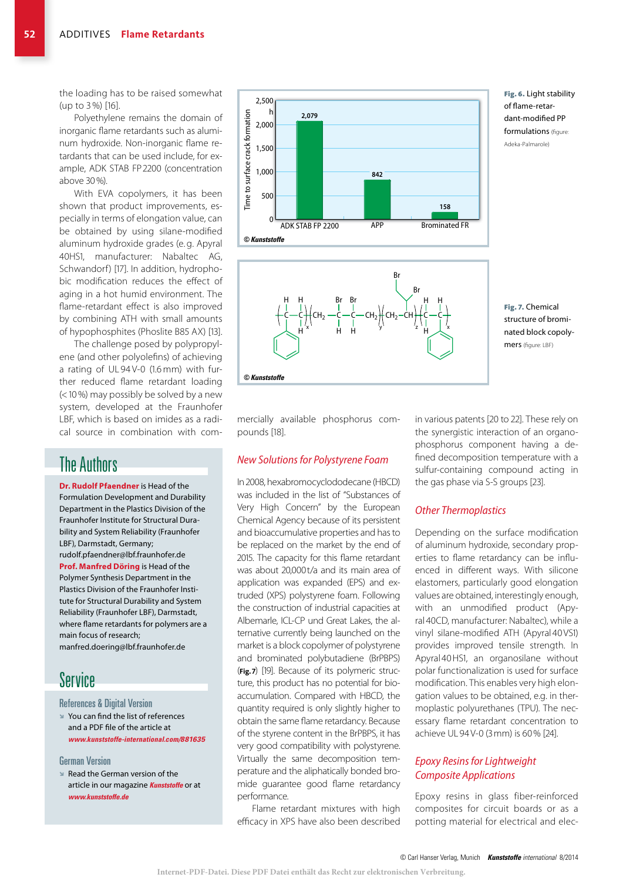the loading has to be raised somewhat (up to 3 %) [16].

Polyethylene remains the domain of inorganic flame retardants such as aluminum hydroxide. Non-inorganic flame retardants that can be used include, for example, ADK STAB FP 2200 (concentration above 30%).

With EVA copolymers, it has been shown that product improvements, especially in terms of elongation value, can be obtained by using silane-modified aluminum hydroxide grades (e. g. Apyral 40HS1, manufacturer: Nabaltec AG, Schwandorf) [17]. In addition, hydrophobic modification reduces the effect of aging in a hot humid environment. The flame-retardant effect is also improved by combining ATH with small amounts of hypophosphites (Phoslite B85 AX) [13].

The challenge posed by polypropylene (and other polyolefins) of achieving a rating of UL 94 V-0 (1.6 mm) with further reduced flame retardant loading (<10%) may possibly be solved by a new system, developed at the Fraunhofer LBF, which is based on imides as a radical source in combination with com-

## The Authors

**Dr. Rudolf Pfaendner** is Head of the Formulation Development and Durability Department in the Plastics Division of the Fraunhofer Institute for Structural Durability and System Reliability (Fraunhofer LBF), Darmstadt, Germany; rudolf.pfaendner@lbf.fraunhofer.de **Prof. Manfred Döring** is Head of the Polymer Synthesis Department in the Plastics Division of the Fraunhofer Institute for Structural Durability and System Reliability (Fraunhofer LBF), Darmstadt, where flame retardants for polymers are a main focus of research; manfred.doering@lbf.fraunhofer.de

## Service

#### References & Digital Version

 $\blacktriangleright$  You can find the list of references and a PDF file of the article at *www.kunststoffe-international.com/881635*

#### German Version

 $\blacktriangleright$  Read the German version of the article in our magazine *Kunststoffe* or at *www.kunststoffe.de*





Fig. 6. Light stability of flame-retardant-modified PP formulations (figure: Adeka-Palmarole)

Fig. 7. Chemical structure of brominated block copolymers (figure: LBF)

mercially available phosphorus compounds [18].

#### *New Solutions for Polystyrene Foam*

In 2008, hexabromocyclododecane (HBCD) was included in the list of "Substances of Very High Concern" by the European Chemical Agency because of its persistent and bioaccumulative properties and has to be replaced on the market by the end of 2015. The capacity for this flame retardant was about 20,000t/a and its main area of application was expanded (EPS) and extruded (XPS) polystyrene foam. Following the construction of industrial capacities at Albemarle, ICL-CP und Great Lakes, the alternative currently being launched on the market is a block copolymer of polystyrene and brominated polybutadiene (BrPBPS) (**Fig.7**) [19]. Because of its polymeric structure, this product has no potential for bioaccumulation. Compared with HBCD, the quantity required is only slightly higher to obtain the same flame retardancy. Because of the styrene content in the BrPBPS, it has very good compatibility with polystyrene. Virtually the same decomposition temperature and the aliphatically bonded bromide guarantee good flame retardancy performance.

Flame retardant mixtures with high efficacy in XPS have also been described

in various patents [20 to 22]. These rely on the synergistic interaction of an organophosphorus component having a defined decomposition temperature with a sulfur-containing compound acting in the gas phase via S-S groups [23].

#### *Other Thermoplastics*

Depending on the surface modification of aluminum hydroxide, secondary properties to flame retardancy can be influenced in different ways. With silicone elastomers, particularly good elongation values are obtained, interestingly enough, with an unmodified product (Apyral 40CD, manufacturer: Nabaltec), while a vinyl silane-modified ATH (Apyral 40VS1) provides improved tensile strength. In Apyral 40HS1, an organosilane without polar functionalization is used for surface modification. This enables very high elongation values to be obtained, e.g. in thermoplastic polyurethanes (TPU). The necessary flame retardant concentration to achieve UL 94V-0 (3mm) is 60% [24].

#### *Epoxy Resins for Lightweight Composite Applications*

Epoxy resins in glass fiber-reinforced composites for circuit boards or as a potting material for electrical and elec-